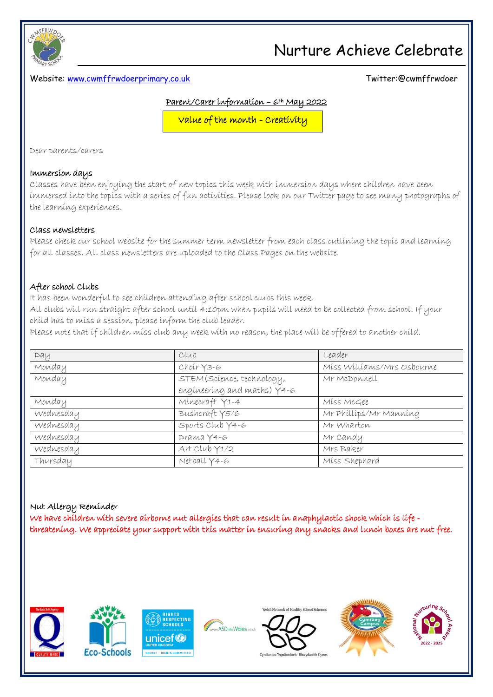

### Website: [www.cwmffrwdoerprimary.co.uk](http://www.cwmffrwdoerprimary.co.uk/) Twitter:@cwmffrwdoer

#### Parent/Carer information – 6th May 2022

Value of the month - Creativity

Dear parents/carers

#### Immersion days

Classes have been enjoying the start of new topics this week with immersion days where children have been immersed into the topics with a series of fun activities. Please look on our Twitter page to see many photographs of the learning experiences.

#### Class newsletters

Please check our school website for the summer term newsletter from each class outlining the topic and learning for all classes. All class newsletters are uploaded to the Class Pages on the website.

#### After school Clubs

It has been wonderful to see children attending after school clubs this week.

All clubs will run straight after school until 4:10pm when pupils will need to be collected from school. If your child has to miss a session, please inform the club leader.

Please note that if children miss club any week with no reason, the place will be offered to another child.

| DaU       | Club                          | Leader                     |
|-----------|-------------------------------|----------------------------|
| Monday    | Choir Y3-6                    | Miss Williams/Mrs Osbourne |
| Monday    | STEM (Science, technology,    | Mr McDonnell               |
|           | engineering and maths) $Y4-6$ |                            |
| Monday    | Minecraft Y1-4                | Miss McGee                 |
| Wednesday | Bushcraft Y5/6                | Mr Phillips/Mr Manning     |
| Wednesday | Sports Club Y4-6              | Mr Wharton                 |
| Wednesday | Drama Y4-6                    | Mr Candy                   |
| Wednesday | Art Club Y1/2                 | Mrs Baker                  |
| Thursday  | Netball Y4-6                  | Miss Shephard              |

### Nut Allergy Reminder

We have children with severe airborne nut allergies that can result in anaphylactic shock which is life threatening. We appreciate your support with this matter in ensuring any snacks and lunch boxes are nut free.







w.ASDinfoWales.co.uk



elsh Network of Healthy School Sche



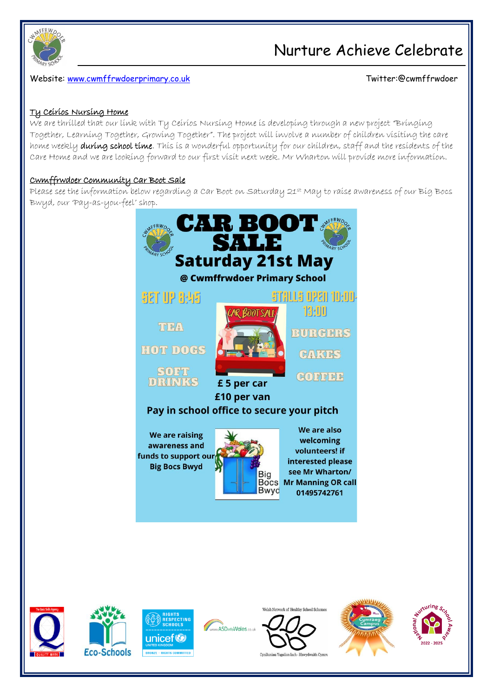

Website: [www.cwmffrwdoerprimary.co.uk](http://www.cwmffrwdoerprimary.co.uk/) Twitter:@cwmffrwdoer

#### Ty Ceirios Nursing Home

We are thrilled that our link with Ty Ceirios Nursing Home is developing through a new project "Bringing Together, Learning Together, Growing Together". The project will involve a number of children visiting the care home weekly during school time. This is a wonderful opportunity for our children, staff and the residents of the Care Home and we are looking forward to our first visit next week. Mr Wharton will provide more information.

#### Cwmffrwdoer Community Car Boot Sale

Please see the information below regarding a Car Boot on Saturday 21st May to raise awareness of our Big Bocs Bwyd, our 'Pay-as-you-feel' shop.







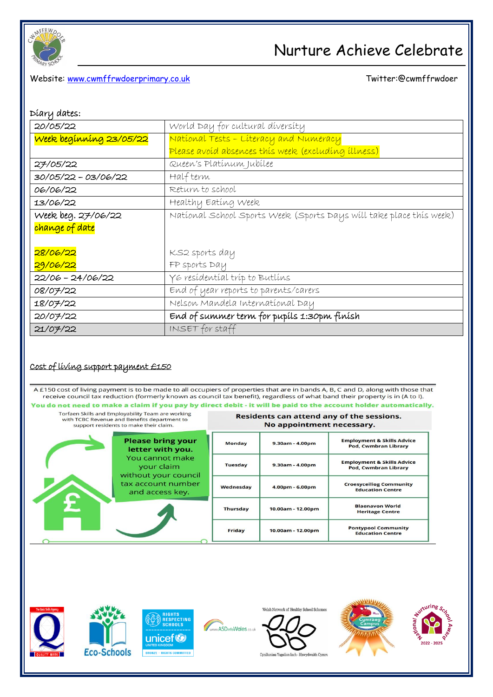

### Website: [www.cwmffrwdoerprimary.co.uk](http://www.cwmffrwdoerprimary.co.uk/) Christian Christian Christian Twitter:@cwmffrwdoer

| Díary dates: |  |
|--------------|--|
|--------------|--|

| 20/05/22                | World Day for cultural diversity                                    |  |  |
|-------------------------|---------------------------------------------------------------------|--|--|
| Week beginning 23/05/22 | National Tests - Literacy and Numeracy                              |  |  |
|                         | Please avoid absences this week (excluding illness)                 |  |  |
| 27/05/22                | Queen's Platinum Jubilee                                            |  |  |
| 30/05/22 - 03/06/22     | Half term                                                           |  |  |
| 06/06/22                | Return to school                                                    |  |  |
| 13/06/22                | Healthy Eating Week                                                 |  |  |
| Week beg. 27/06/22      | National School Sports Week (Sports Days will take place this week) |  |  |
| change of date          |                                                                     |  |  |
|                         |                                                                     |  |  |
| 28/06/22                | KS2 sports day                                                      |  |  |
| 29/06/22                | FP sports Day                                                       |  |  |
| 22/06 - 24/06/22        | Y 6 resídentíal tríp to Butlíns                                     |  |  |
| 08/07/22                | End of year reports to parents/carers                               |  |  |
| 18/07/22                | Nelson Mandela International Day                                    |  |  |
| 20/07/22                | End of summer term for pupils 1:30pm finish                         |  |  |
| 21/07/22                | INSET for staff                                                     |  |  |

### Cost of living support payment £150

A £150 cost of living payment is to be made to all occupiers of properties that are in bands A, B, C and D, along with those that receive council tax reduction (formerly known as council tax benefit), regardless of what band their property is in (A to I). You do not need to make a claim if you pay by direct debit - it will be paid to the account holder automatically.

| Torfaen Skills and Employability Team are working<br>with TCBC Revenue and Benefits department to<br>support residents to make their claim. |                                                       | Residents can attend any of the sessions.<br>No appointment necessary. |                   |                                                                      |
|---------------------------------------------------------------------------------------------------------------------------------------------|-------------------------------------------------------|------------------------------------------------------------------------|-------------------|----------------------------------------------------------------------|
|                                                                                                                                             | <b>Please bring your</b><br>letter with you.          | <b>Monday</b>                                                          | $9.30am - 4.00pm$ | <b>Employment &amp; Skills Advice</b><br>Pod, Cwmbran Library        |
|                                                                                                                                             | You cannot make<br>your claim<br>without your council | <b>Tuesday</b>                                                         | $9.30am - 4.00pm$ | <b>Employment &amp; Skills Advice</b><br><b>Pod, Cwmbran Library</b> |
|                                                                                                                                             | tax account number<br>and access key.                 | Wednesday                                                              | 4.00pm - 6.00pm   | <b>Croesyceiliog Community</b><br><b>Education Centre</b>            |
|                                                                                                                                             |                                                       | <b>Thursday</b>                                                        | 10.00am - 12.00pm | <b>Blaenavon World</b><br><b>Heritage Centre</b>                     |
|                                                                                                                                             |                                                       | Friday                                                                 | 10.00am - 12.00pm | <b>Pontypool Community</b><br><b>Education Centre</b>                |

www.ASDinfoWales.co.uk







Welsh Network of Healthy School Schemes







 $\ddot{\phantom{a}}$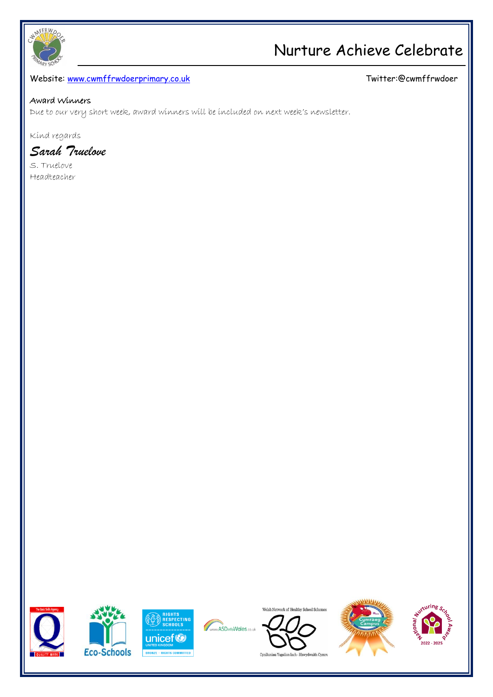

### Website: [www.cwmffrwdoerprimary.co.uk](http://www.cwmffrwdoerprimary.co.uk/) and the state of the community of the Twitter:@cwmffrwdoer

#### Award Winners

Due to our very short week, award winners will be included on next week's newsletter.

Kind regards

*Sarah Truelove*

S. Truelove Headteacher







Www.ASDinfoWales.co.uk



Welsh Network of Healthy School Schemes